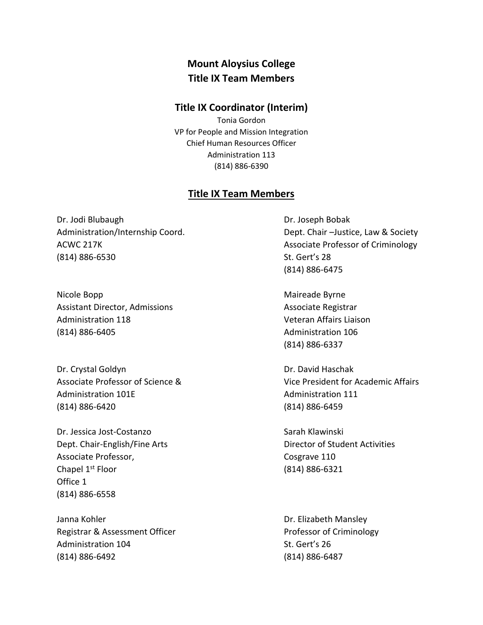## **Mount Aloysius College Title IX Team Members**

## **Title IX Coordinator (Interim)**

Tonia Gordon VP for People and Mission Integration Chief Human Resources Officer Administration 113 (814) 886-6390

## **Title IX Team Members**

Dr. Jodi Blubaugh Dr. Joseph Bobak (814) 886-6530 St. Gert's 28

Nicole Bopp **Maireade Byrne** Assistant Director, Admissions Associate Registrar Administration 118 Veteran Affairs Liaison (814) 886-6405 Administration 106

Dr. Crystal Goldyn **Dr. David Haschak** Administration 101E and the Communistration 111 (814) 886-6420 (814) 886-6459

Dr. Jessica Jost-Costanzo Sarah Klawinski Dept. Chair-English/Fine Arts Director of Student Activities Associate Professor, and the Cosgrave 110 Chapel  $1^{st}$  Floor (814) 886-6321 Office 1 (814) 886-6558

Janna Kohler **Dr. Elizabeth Mansley** Registrar & Assessment Officer **Professor of Criminology** Administration 104 St. Gert's 26 (814) 886-6492 (814) 886-6487

Administration/Internship Coord. Dept. Chair –Justice, Law & Society ACWC 217K Acward COVID-17 Associate Professor of Criminology (814) 886-6475

(814) 886-6337

Associate Professor of Science & Vice President for Academic Affairs